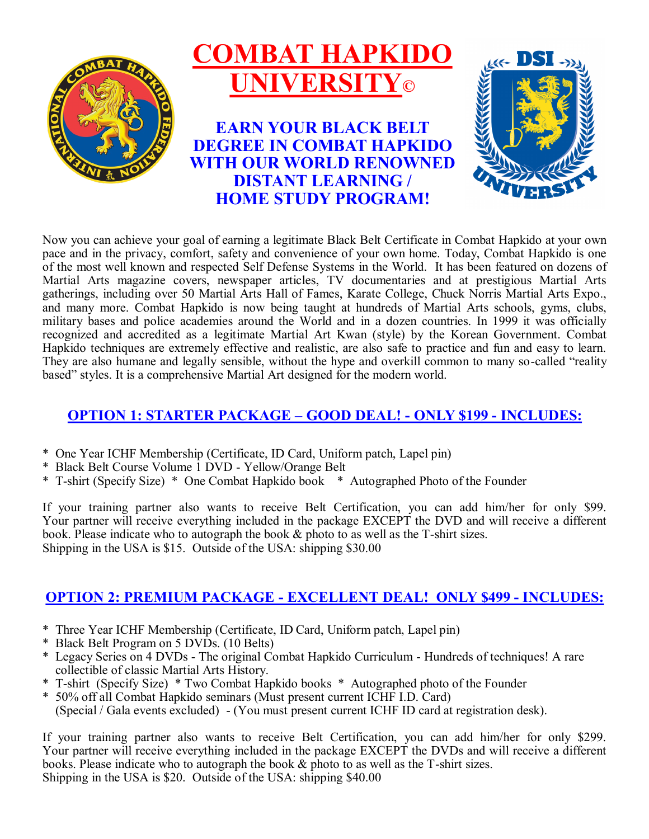

Now you can achieve your goal of earning a legitimate Black Belt Certificate in Combat Hapkido at your own pace and in the privacy, comfort, safety and convenience of your own home. Today, Combat Hapkido is one of the most well known and respected Self Defense Systems in the World. It has been featured on dozens of Martial Arts magazine covers, newspaper articles, TV documentaries and at prestigious Martial Arts gatherings, including over 50 Martial Arts Hall of Fames, Karate College, Chuck Norris Martial Arts Expo., and many more. Combat Hapkido is now being taught at hundreds of Martial Arts schools, gyms, clubs, military bases and police academies around the World and in a dozen countries. In 1999 it was officially recognized and accredited as a legitimate Martial Art Kwan (style) by the Korean Government. Combat Hapkido techniques are extremely effective and realistic, are also safe to practice and fun and easy to learn. They are also humane and legally sensible, without the hype and overkill common to many so-called "reality based" styles. It is a comprehensive Martial Art designed for the modern world.

### **OPTION 1: STARTER PACKAGE – GOOD DEAL! - ONLY \$199 - INCLUDES:**

- \* One Year ICHF Membership (Certificate, ID Card, Uniform patch, Lapel pin)
- \* Black Belt Course Volume 1 DVD Yellow/Orange Belt
- \* T-shirt (Specify Size) \* One Combat Hapkido book \* Autographed Photo of the Founder

If your training partner also wants to receive Belt Certification, you can add him/her for only \$99. Your partner will receive everything included in the package EXCEPT the DVD and will receive a different book. Please indicate who to autograph the book & photo to as well as the T-shirt sizes. Shipping in the USA is \$15. Outside of the USA: shipping \$30.00

### **OPTION 2: PREMIUM PACKAGE - EXCELLENT DEAL! ONLY \$499 - INCLUDES:**

- \* Three Year ICHF Membership (Certificate, ID Card, Uniform patch, Lapel pin)
- \* Black Belt Program on 5 DVDs. (10 Belts)
- \* Legacy Series on 4 DVDs The original Combat Hapkido Curriculum Hundreds of techniques! A rare collectible of classic Martial Arts History.
- \* T-shirt (Specify Size) \* Two Combat Hapkido books \* Autographed photo of the Founder
- \* 50% off all Combat Hapkido seminars (Must present current ICHF I.D. Card) (Special / Gala events excluded) - (You must present current ICHF ID card at registration desk).

If your training partner also wants to receive Belt Certification, you can add him/her for only \$299. Your partner will receive everything included in the package EXCEPT the DVDs and will receive a different books. Please indicate who to autograph the book & photo to as well as the T-shirt sizes. Shipping in the USA is \$20. Outside of the USA: shipping \$40.00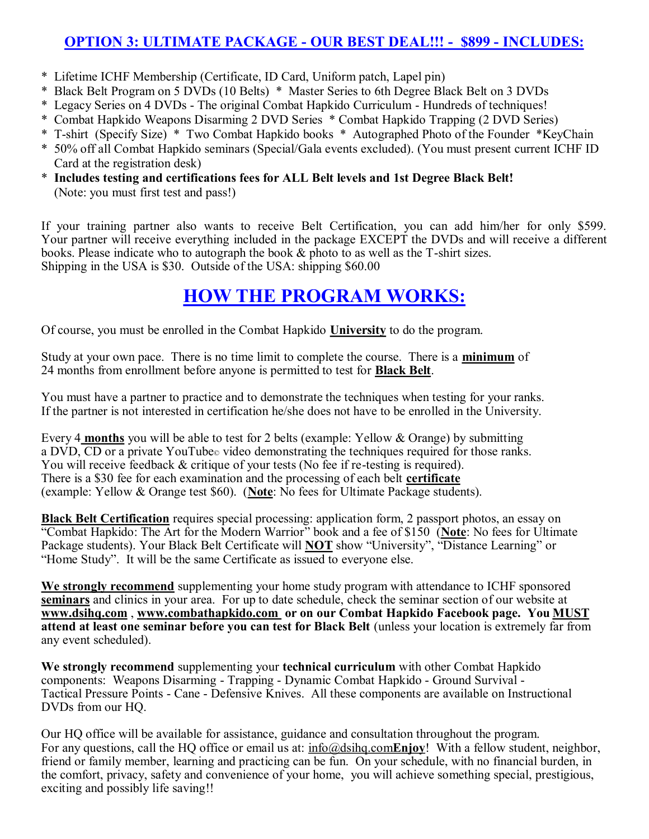### **OPTION 3: ULTIMATE PACKAGE - OUR BEST DEAL!!! - \$899 - INCLUDES:**

- \* Lifetime ICHF Membership (Certificate, ID Card, Uniform patch, Lapel pin)
- \* Black Belt Program on 5 DVDs (10 Belts) \* Master Series to 6th Degree Black Belt on 3 DVDs
- \* Legacy Series on 4 DVDs The original Combat Hapkido Curriculum Hundreds of techniques!
- \* Combat Hapkido Weapons Disarming 2 DVD Series \* Combat Hapkido Trapping (2 DVD Series)
- \* T-shirt (Specify Size) \* Two Combat Hapkido books \* Autographed Photo of the Founder \*KeyChain
- \* 50% off all Combat Hapkido seminars (Special/Gala events excluded). (You must present current ICHF ID Card at the registration desk)
- \* **Includes testing and certifications fees for ALL Belt levels and 1st Degree Black Belt!** (Note: you must first test and pass!)

If your training partner also wants to receive Belt Certification, you can add him/her for only \$599. Your partner will receive everything included in the package EXCEPT the DVDs and will receive a different books. Please indicate who to autograph the book & photo to as well as the T-shirt sizes. Shipping in the USA is \$30. Outside of the USA: shipping \$60.00

# **HOW THE PROGRAM WORKS:**

Of course, you must be enrolled in the Combat Hapkido **University** to do the program.

Study at your own pace. There is no time limit to complete the course. There is a **minimum** of 24 months from enrollment before anyone is permitted to test for **Black Belt**.

You must have a partner to practice and to demonstrate the techniques when testing for your ranks. If the partner is not interested in certification he/she does not have to be enrolled in the University.

Every 4 **months** you will be able to test for 2 belts (example: Yellow & Orange) by submitting a DVD, CD or a private YouTube $\circ$  video demonstrating the techniques required for those ranks. You will receive feedback & critique of your tests (No fee if re-testing is required). There is a \$30 fee for each examination and the processing of each belt **certificate** (example: Yellow & Orange test \$60). (**Note**: No fees for Ultimate Package students).

**Black Belt Certification** requires special processing: application form, 2 passport photos, an essay on "Combat Hapkido: The Art for the Modern Warrior" book and a fee of \$150 (**Note**: No fees for Ultimate Package students). Your Black Belt Certificate will **NOT** show "University", "Distance Learning" or "Home Study". It will be the same Certificate as issued to everyone else.

**We strongly recommend** supplementing your home study program with attendance to ICHF sponsored **seminars** and clinics in your area. For up to date schedule, check the seminar section of our website at **[www.dsihq.com](http://www.ichf.com/)** , **www.combathapkido.com or on our Combat Hapkido Facebook page. You MUST attend at least one seminar before you can test for Black Belt** (unless your location is extremely far from any event scheduled).

**We strongly recommend** supplementing your **technical curriculum** with other Combat Hapkido components: Weapons Disarming - Trapping - Dynamic Combat Hapkido - Ground Survival - Tactical Pressure Points - Cane - Defensive Knives. All these components are available on Instructional DVDs from our HQ.

Our HQ office will be available for assistance, guidance and consultation throughout the program. For any questions, call the HQ office or email us at: [info@dsihq.com](mailto:staff@dsihq.com)**Enjoy**! With a fellow student, neighbor, friend or family member, learning and practicing can be fun. On your schedule, with no financial burden, in the comfort, privacy, safety and convenience of your home, you will achieve something special, prestigious, exciting and possibly life saving!!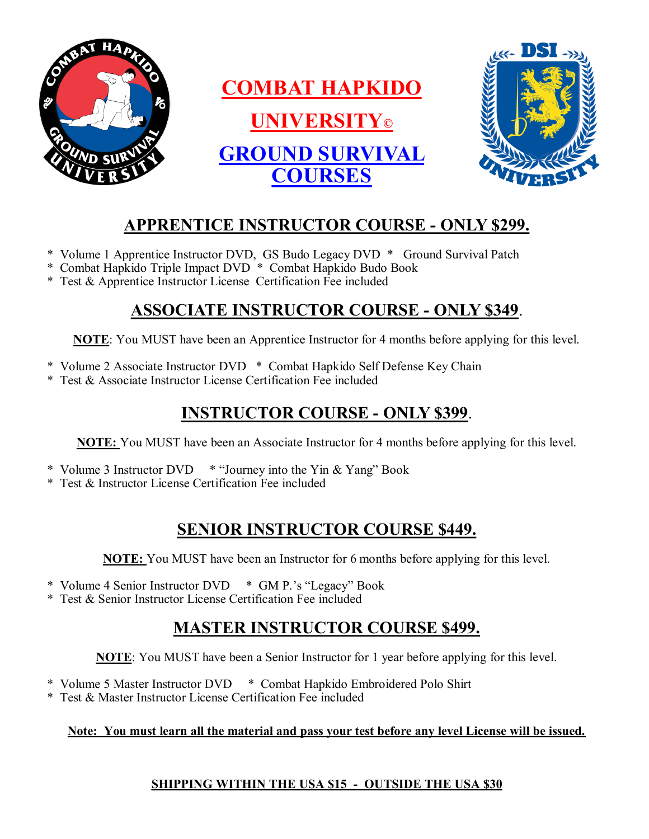

# **APPRENTICE INSTRUCTOR COURSE - ONLY \$299.**

- \* Volume 1 Apprentice Instructor DVD, GS Budo Legacy DVD \* Ground Survival Patch
- \* Combat Hapkido Triple Impact DVD \* Combat Hapkido Budo Book
- \* Test & Apprentice Instructor License Certification Fee included

### **ASSOCIATE INSTRUCTOR COURSE - ONLY \$349**.

**NOTE**: You MUST have been an Apprentice Instructor for 4 months before applying for this level.

- \* Volume 2 Associate Instructor DVD \* Combat Hapkido Self Defense Key Chain
- \* Test & Associate Instructor License Certification Fee included

### **INSTRUCTOR COURSE - ONLY \$399**.

**NOTE:** You MUST have been an Associate Instructor for 4 months before applying for this level.

- \* Volume 3 Instructor DVD \* "Journey into the Yin & Yang" Book
- \* Test & Instructor License Certification Fee included

## **SENIOR INSTRUCTOR COURSE \$449.**

**NOTE:** You MUST have been an Instructor for 6 months before applying for this level.

- \* Volume 4 Senior Instructor DVD \* GM P.'s "Legacy" Book
- \* Test & Senior Instructor License Certification Fee included

# **MASTER INSTRUCTOR COURSE \$499.**

**NOTE**: You MUST have been a Senior Instructor for 1 year before applying for this level.

- \* Volume 5 Master Instructor DVD \* Combat Hapkido Embroidered Polo Shirt
- \* Test & Master Instructor License Certification Fee included

#### **Note: You must learn all the material and pass your test before any level License will be issued.**

### **SHIPPING WITHIN THE USA \$15 - OUTSIDE THE USA \$30**